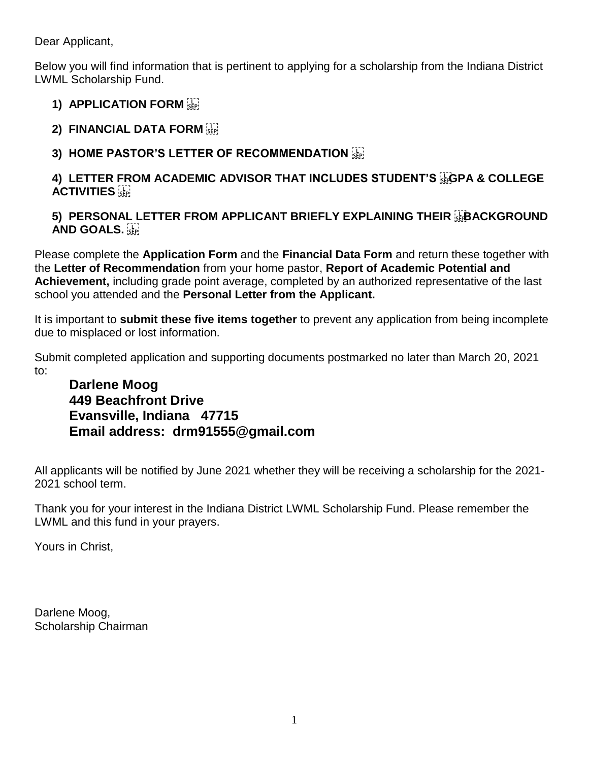Dear Applicant,

Below you will find information that is pertinent to applying for a scholarship from the Indiana District LWML Scholarship Fund.

# **1) APPLICATION FORM**

- **2) FINANCIAL DATA FORM**
- **3) HOME PASTOR'S LETTER OF RECOMMENDATION**

## **4) LETTER FROM ACADEMIC ADVISOR THAT INCLUDES STUDENT'S FOR A COLLEGE ACTIVITIES**

## **5) PERSONAL LETTER FROM APPLICANT BRIEFLY EXPLAINING THEIR <b>FRACKGROUND AND GOALS.**

Please complete the **Application Form** and the **Financial Data Form** and return these together with the **Letter of Recommendation** from your home pastor, **Report of Academic Potential and Achievement,** including grade point average, completed by an authorized representative of the last school you attended and the **Personal Letter from the Applicant.**

It is important to **submit these five items together** to prevent any application from being incomplete due to misplaced or lost information.

Submit completed application and supporting documents postmarked no later than March 20, 2021 to:

# **Darlene Moog 449 Beachfront Drive Evansville, Indiana 47715 Email address: [drm91555@gmail.com](mailto:drm91555@gmail.com)**

All applicants will be notified by June 2021 whether they will be receiving a scholarship for the 2021- 2021 school term.

Thank you for your interest in the Indiana District LWML Scholarship Fund. Please remember the LWML and this fund in your prayers.

Yours in Christ,

Darlene Moog, Scholarship Chairman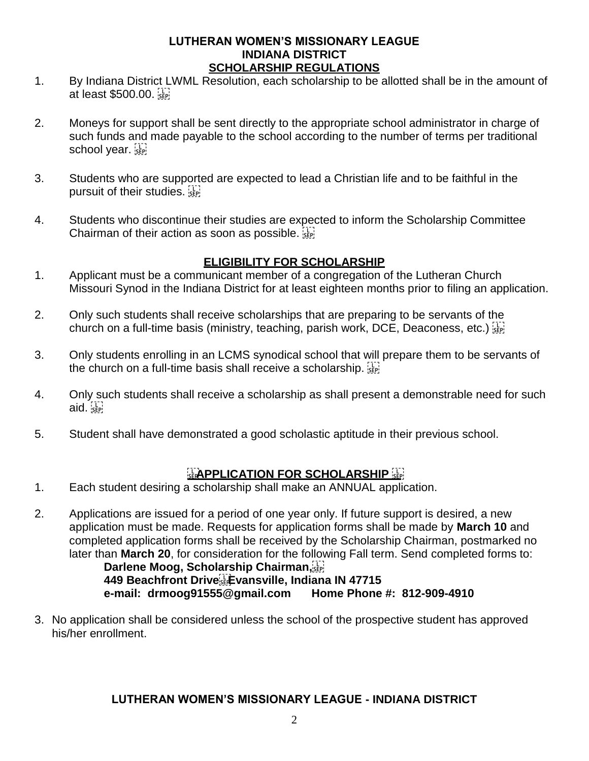#### **LUTHERAN WOMEN'S MISSIONARY LEAGUE INDIANA DISTRICT SCHOLARSHIP REGULATIONS**

- 1. By Indiana District LWML Resolution, each scholarship to be allotted shall be in the amount of at least \$500.00.
- 2. Moneys for support shall be sent directly to the appropriate school administrator in charge of such funds and made payable to the school according to the number of terms per traditional school year.
- 3. Students who are supported are expected to lead a Christian life and to be faithful in the pursuit of their studies.
- 4. Students who discontinue their studies are expected to inform the Scholarship Committee Chairman of their action as soon as possible.

### **ELIGIBILITY FOR SCHOLARSHIP**

- 1. Applicant must be a communicant member of a congregation of the Lutheran Church Missouri Synod in the Indiana District for at least eighteen months prior to filing an application.
- 2. Only such students shall receive scholarships that are preparing to be servants of the church on a full-time basis (ministry, teaching, parish work, DCE, Deaconess, etc.)
- 3. Only students enrolling in an LCMS synodical school that will prepare them to be servants of the church on a full-time basis shall receive a scholarship.
- 4. Only such students shall receive a scholarship as shall present a demonstrable need for such  $aid.$
- 5. Student shall have demonstrated a good scholastic aptitude in their previous school.

## **APPLICATION FOR SCHOLARSHIP**

- 1. Each student desiring a scholarship shall make an ANNUAL application.
- 2. Applications are issued for a period of one year only. If future support is desired, a new application must be made. Requests for application forms shall be made by **March 10** and completed application forms shall be received by the Scholarship Chairman, postmarked no later than **March 20**, for consideration for the following Fall term. Send completed forms to:

 **Darlene Moog, Scholarship Chairman, 449 Beachfront Drive Evansville, Indiana IN 47715 e-mail: [drmoog91555@gmail.com](mailto:drmoog91555@gmail.com) Home Phone #: 812-909-4910** 

3. No application shall be considered unless the school of the prospective student has approved his/her enrollment.

#### **LUTHERAN WOMEN'S MISSIONARY LEAGUE - INDIANA DISTRICT**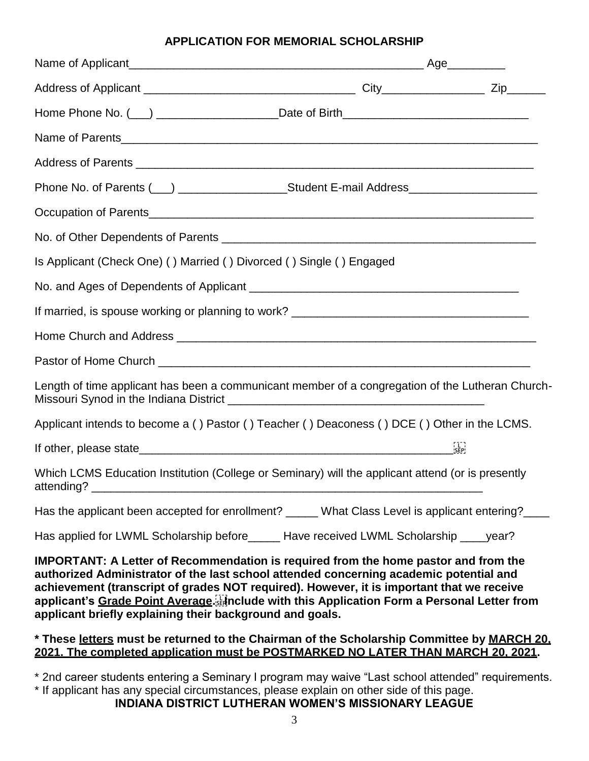#### **APPLICATION FOR MEMORIAL SCHOLARSHIP**

| Home Phone No. (__) _______________________Date of Birth_________________________                                                                                                                                                                                                                                                                                                  |                   |
|------------------------------------------------------------------------------------------------------------------------------------------------------------------------------------------------------------------------------------------------------------------------------------------------------------------------------------------------------------------------------------|-------------------|
|                                                                                                                                                                                                                                                                                                                                                                                    |                   |
|                                                                                                                                                                                                                                                                                                                                                                                    |                   |
| Phone No. of Parents (___) ______________________Student E-mail Address_____________________________                                                                                                                                                                                                                                                                               |                   |
|                                                                                                                                                                                                                                                                                                                                                                                    |                   |
|                                                                                                                                                                                                                                                                                                                                                                                    |                   |
| Is Applicant (Check One) () Married () Divorced () Single () Engaged                                                                                                                                                                                                                                                                                                               |                   |
|                                                                                                                                                                                                                                                                                                                                                                                    |                   |
|                                                                                                                                                                                                                                                                                                                                                                                    |                   |
|                                                                                                                                                                                                                                                                                                                                                                                    |                   |
|                                                                                                                                                                                                                                                                                                                                                                                    |                   |
| Length of time applicant has been a communicant member of a congregation of the Lutheran Church-                                                                                                                                                                                                                                                                                   |                   |
| Applicant intends to become a () Pastor () Teacher () Deaconess () DCE () Other in the LCMS.                                                                                                                                                                                                                                                                                       |                   |
|                                                                                                                                                                                                                                                                                                                                                                                    | $\frac{1}{2}$ SEP |
| Which LCMS Education Institution (College or Seminary) will the applicant attend (or is presently                                                                                                                                                                                                                                                                                  |                   |
| Has the applicant been accepted for enrollment? _____ What Class Level is applicant entering? ____                                                                                                                                                                                                                                                                                 |                   |
| Has applied for LWML Scholarship before______ Have received LWML Scholarship ____ year?                                                                                                                                                                                                                                                                                            |                   |
| <b>IMPORTANT: A Letter of Recommendation is required from the home pastor and from the</b><br>authorized Administrator of the last school attended concerning academic potential and<br>achievement (transcript of grades NOT required). However, it is important that we receive<br>applicant's Grade Point Average [1] anclude with this Application Form a Personal Letter from |                   |

#### **\* These letters must be returned to the Chairman of the Scholarship Committee by MARCH 20, 2021. The completed application must be POSTMARKED NO LATER THAN MARCH 20, 2021.**

**applicant briefly explaining their background and goals.** 

\* 2nd career students entering a Seminary I program may waive "Last school attended" requirements. \* If applicant has any special circumstances, please explain on other side of this page.

**INDIANA DISTRICT LUTHERAN WOMEN'S MISSIONARY LEAGUE**